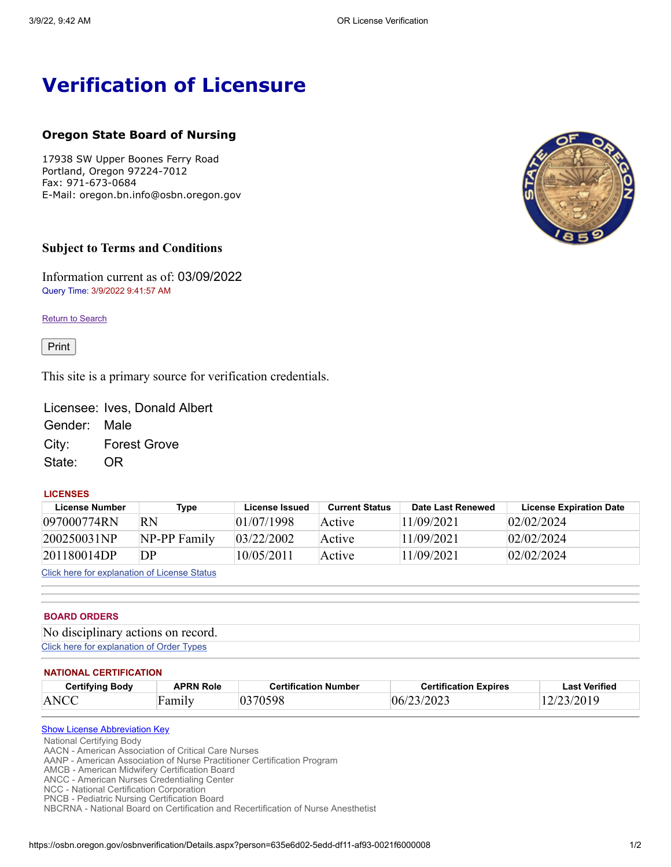# **Verification of Licensure**

# **Oregon State Board of Nursing**

17938 SW Upper Boones Ferry Road Portland, Oregon 97224-7012 Fax: 971-673-0684 E-Mail: oregon.bn.info@osbn.oregon.gov

## **Subject to Terms and Conditions**

Information current as of: 03/09/2022 Query Time: 3/9/2022 9:41:57 AM

**Return to [Search](https://osbn.oregon.gov/osbnverification/Default.aspx)** 

Print

This site is a primary source for verification credentials.

Licensee: Ives, Donald Albert Gender: Male City: Forest Grove State: OR

#### **LICENSES**

| License Number | Type         | License Issued | <b>Current Status</b> | Date Last Renewed | <b>License Expiration Date</b> |
|----------------|--------------|----------------|-----------------------|-------------------|--------------------------------|
| 097000774RN    | RN           | 01/07/1998     | Active                | 11/09/2021        | 02/02/2024                     |
| 200250031NP    | NP-PP Family | 03/22/2002     | Active                | 11/09/2021        | 02/02/2024                     |
| 201180014DP    | DР           | 10/05/2011     | Active                | 11/09/2021        | 02/02/2024                     |

Click here for [explanation](javascript:__doPostBack() of License Status

#### **BOARD ORDERS**

| No disciplinary actions on record.        |  |
|-------------------------------------------|--|
| Click here for explanation of Order Types |  |

#### **NATIONAL CERTIFICATION**

| <b>Certifying Body</b> | APRN Role | <b>Certification Number</b> | <b>Certification Expires</b> | <b>Last Verified</b> |
|------------------------|-----------|-----------------------------|------------------------------|----------------------|
| ANCC                   | Family    | 0270500                     | J6/                          | 2019                 |

### **Show License [Abbreviation](javascript:__doPostBack() Key**

National Certifying Body

AACN - American Association of Critical Care Nurses

AANP - American Association of Nurse Practitioner Certification Program

AMCB - American Midwifery Certification Board

ANCC - American Nurses Credentialing Center

NCC - National Certification Corporation PNCB - Pediatric Nursing Certification Board

NBCRNA - National Board on Certification and Recertification of Nurse Anesthetist